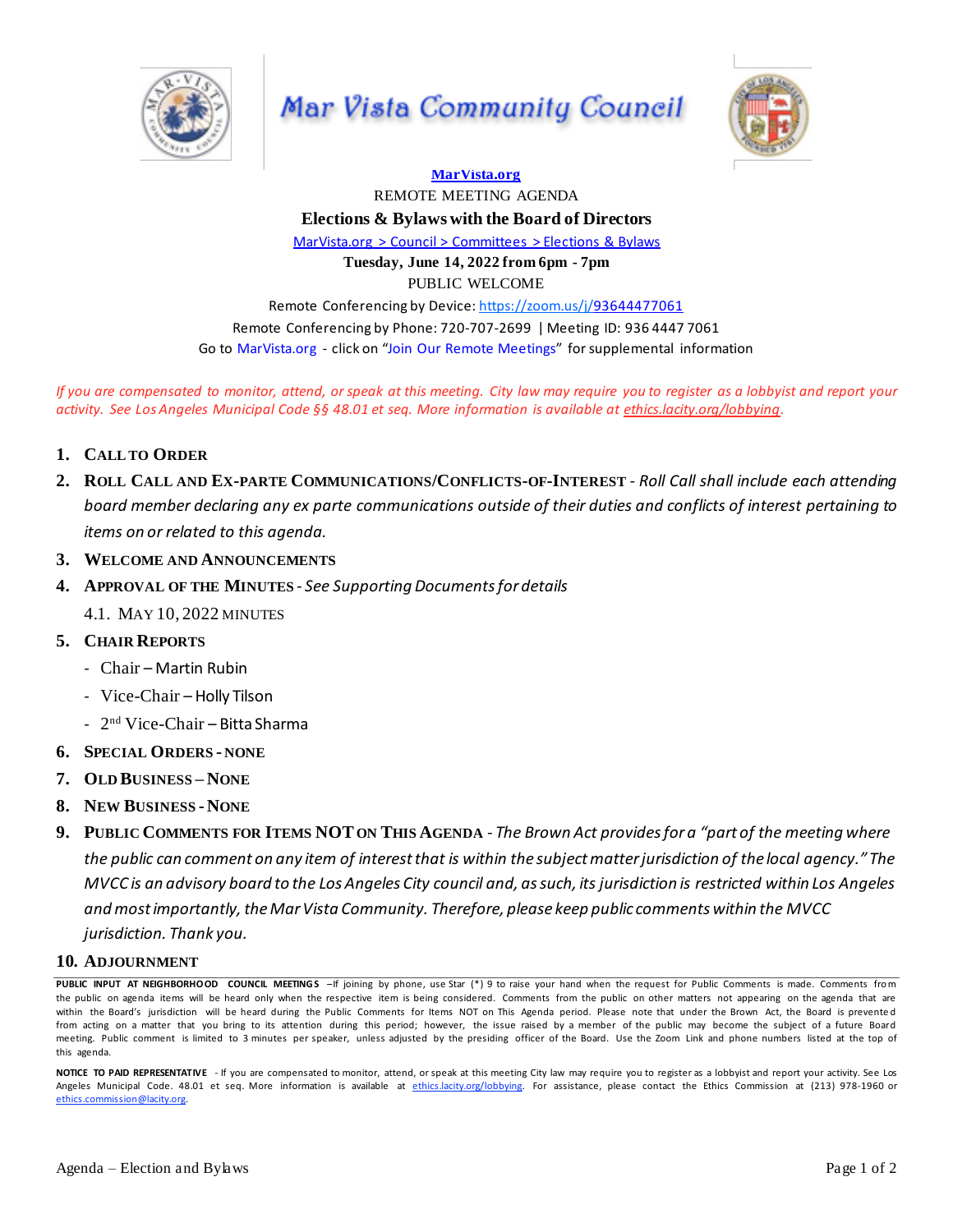

Mar Vista Community Council



**[MarVista.org](http://marvista.org/)** REMOTE MEETING AGENDA **Elections & Bylaws with the Board of Directors** [MarVista.org](https://www.marvista.org/committees/viewCommittee/elections-&-bylaws-committee) > Council > Committees > Elections & Bylaws **Tuesday, June 14, 2022 from 6pm - 7pm** PUBLIC WELCOME Remote Conferencing by Device: <https://zoom.us/j/93644477061> Remote Conferencing by Phone: 720-707-2699 | Meeting ID: 936 4447 7061 Go to MarVista.org - click on "Join Our Remote Meetings" forsupplemental information

If you are compensated to monitor, attend, or speak at this meeting. City law may require you to register as a lobbyist and report your activity. See Los Angeles Municipal Code §§ 48.01 et seq. More information is available at [ethics.lacity.org/lobbying.](http://ethics.lacity.org/lobbying)

- **1. CALL TO ORDER**
- 2. ROLL CALL AND EX-PARTE COMMUNICATIONS/CONFLICTS-OF-INTEREST Roll Call shall include each attending board member declaring any ex parte communications outside of their duties and conflicts of interest pertaining to *items on or related to this agenda.*
- **3. WELCOME AND ANNOUNCEMENTS**
- **4. APPROVAL OF THE MINUTES** *- See SupportingDocumentsfor details*
	- 4.1. MAY 10, 2022 MINUTES
- **5. CHAIR REPORTS**
	- Chair Martin Rubin
	- Vice-Chair Holly Tilson
	- 2 nd Vice-Chair Bitta Sharma
- **6. SPECIAL ORDERS - NONE**
- **7. OLD BUSINESS – NONE**
- **8. NEW BUSINESS -NONE**
- 9. PUBLIC COMMENTS FOR ITEMS NOT ON THIS AGENDA The Brown Act provides for a "part of the meeting where the public can comment on any item of interest that is within the subject matter jurisdiction of the local agency." The MVCC is an advisory board to the Los Angeles City council and, as such, its jurisdiction is restricted within Los Angeles *andmostimportantly,theMarVista Community. Therefore, please keep public comments within the MVCC jurisdiction. Thank you.*

## **10. ADJOURNMENT**

PUBLIC INPUT AT NEIGHBORHOOD COUNCIL MEETINGS –If joining by phone, use Star (\*) 9 to raise your hand when the request for Public Comments is made. Comments from the public on agenda items will be heard only when the respective item is being considered. Comments from the public on other matters not appearing on the agenda that are within the Board's jurisdiction will be heard during the Public Comments for Items NOT on This Agenda period. Please note that under the Brown Act, the Board is prevented from acting on a matter that you bring to its attention during this period; however, the issue raised by a member of the public may become the subject of a future Board meeting. Public comment is limited to 3 minutes per speaker, unless adjusted by the presiding officer of the Board. Use the Zoom Link and phone numbers listed at the top of this agenda.

**NOTICE TO PAID REPRESENTATIVE** - If you are compensated to monitor, attend, or speak at this meeting City law may require you to register as a lobbyist and report your activity. See Los Angeles Municipal Code. 48.01 et seq. More information is available at [ethics.lacity.org/lobbying.](http://ethics.lacity.org/lobbying) For assistance, please contact the Ethics Commission at (213) 978-1960 or [ethics.commission@lacity.org.](mailto:ethics.commission@lacity.org)